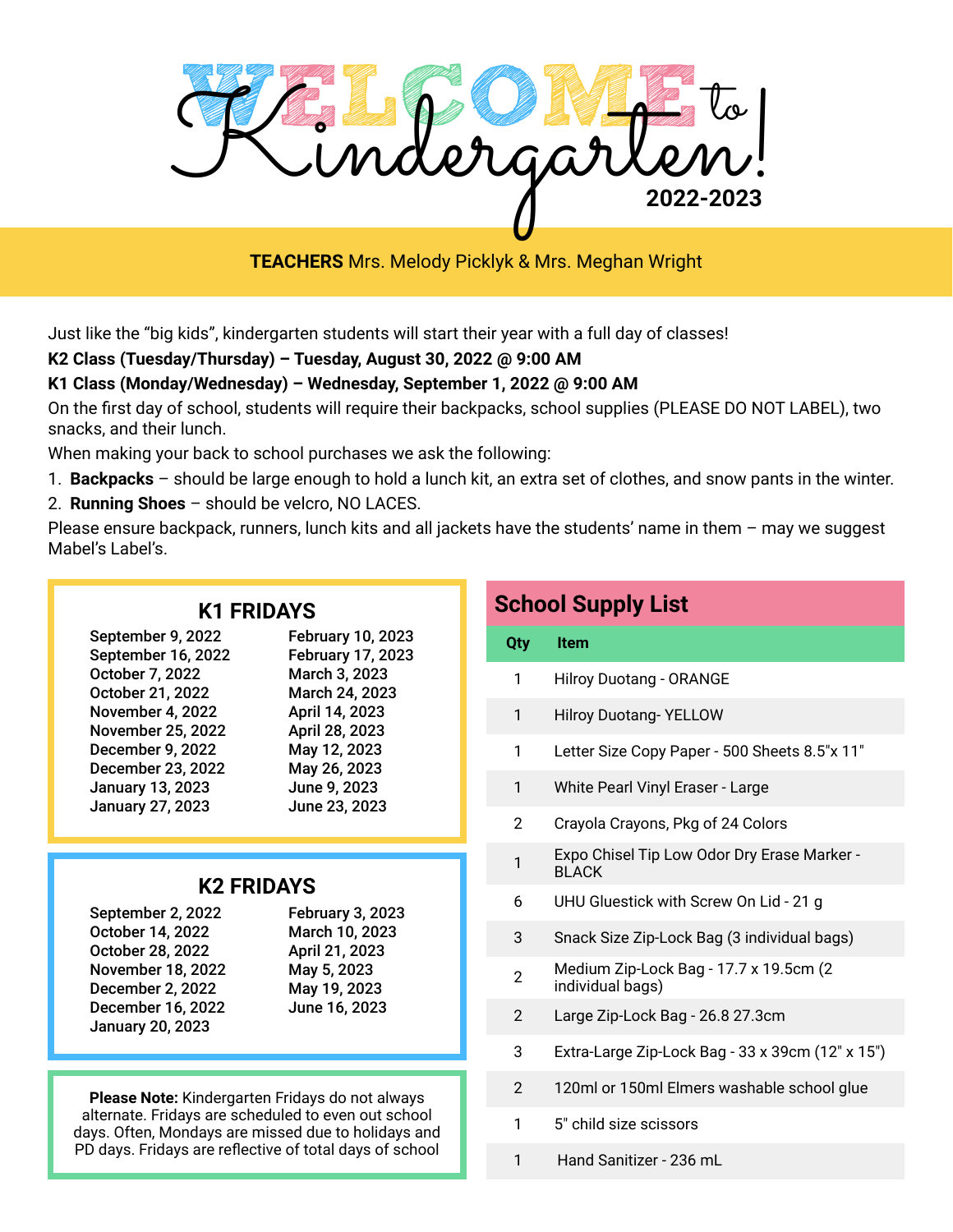

**TEACHERS** Mrs. Melody Picklyk & Mrs. Meghan Wright

Just like the "big kids", kindergarten students will start their year with a full day of classes!

#### **K2 Class (Tuesday/Thursday) – Tuesday, August 30, 2022 @ 9:00 AM**

#### **K1 Class (Monday/Wednesday) – Wednesday, September 1, 2022 @ 9:00 AM**

On the first day of school, students will require their backpacks, school supplies (PLEASE DO NOT LABEL), two snacks, and their lunch.

When making your back to school purchases we ask the following:

- 1. **Backpacks** should be large enough to hold a lunch kit, an extra set of clothes, and snow pants in the winter.
- 2. **Running Shoes** should be velcro, NO LACES.

Please ensure backpack, runners, lunch kits and all jackets have the students' name in them – may we suggest Mabel's Label's.

#### **K1 FRIDAYS**

| September 9, 2022        | <b>February 10, 2023</b> |
|--------------------------|--------------------------|
| September 16, 2022       | February 17, 2023        |
| October 7, 2022          | March 3, 2023            |
| October 21, 2022         | March 24, 2023           |
| November 4, 2022         | April 14, 2023           |
| <b>November 25, 2022</b> | April 28, 2023           |
| December 9, 2022         | May 12, 2023             |
| December 23, 2022        | May 26, 2023             |
| <b>January 13, 2023</b>  | June 9, 2023             |
| January 27, 2023         | June 23, 2023            |

### **K2 FRIDAYS**

| September 2, 2022        |
|--------------------------|
| October 14, 2022         |
| October 28, 2022         |
| <b>November 18, 2022</b> |
| <b>December 2, 2022</b>  |
| December 16, 2022        |
| <b>January 20, 2023</b>  |
|                          |

February 3, 2023 March 10, 2023 April 21, 2023 May 5, 2023 May 19, 2023 June 16, 2023

**Please Note:** Kindergarten Fridays do not always alternate. Fridays are scheduled to even out school days. Often, Mondays are missed due to holidays and PD days. Fridays are reflective of total days of school

## **School Supply List Qty Item** 1 Hilroy Duotang - ORANGE 1 Hilroy Duotang- YELLOW 1 Letter Size Copy Paper - 500 Sheets 8.5"x 11" 1 White Pearl Vinyl Eraser - Large 2 Crayola Crayons, Pkg of 24 Colors **Expo Chisel Tip Low Odor Dry Erase Marker -**BLACK 6 UHU Gluestick with Screw On Lid - 21 g 3 Snack Size Zip-Lock Bag (3 individual bags) 2 Medium Zip-Lock Bag - 17.7 x 19.5cm (2 individual bags) 2 Large Zip-Lock Bag - 26.8 27.3cm 3 Extra-Large Zip-Lock Bag - 33 x 39cm (12" x 15") 2 120ml or 150ml Elmers washable school glue 1 5" child size scissors 1 Hand Sanitizer - 236 mL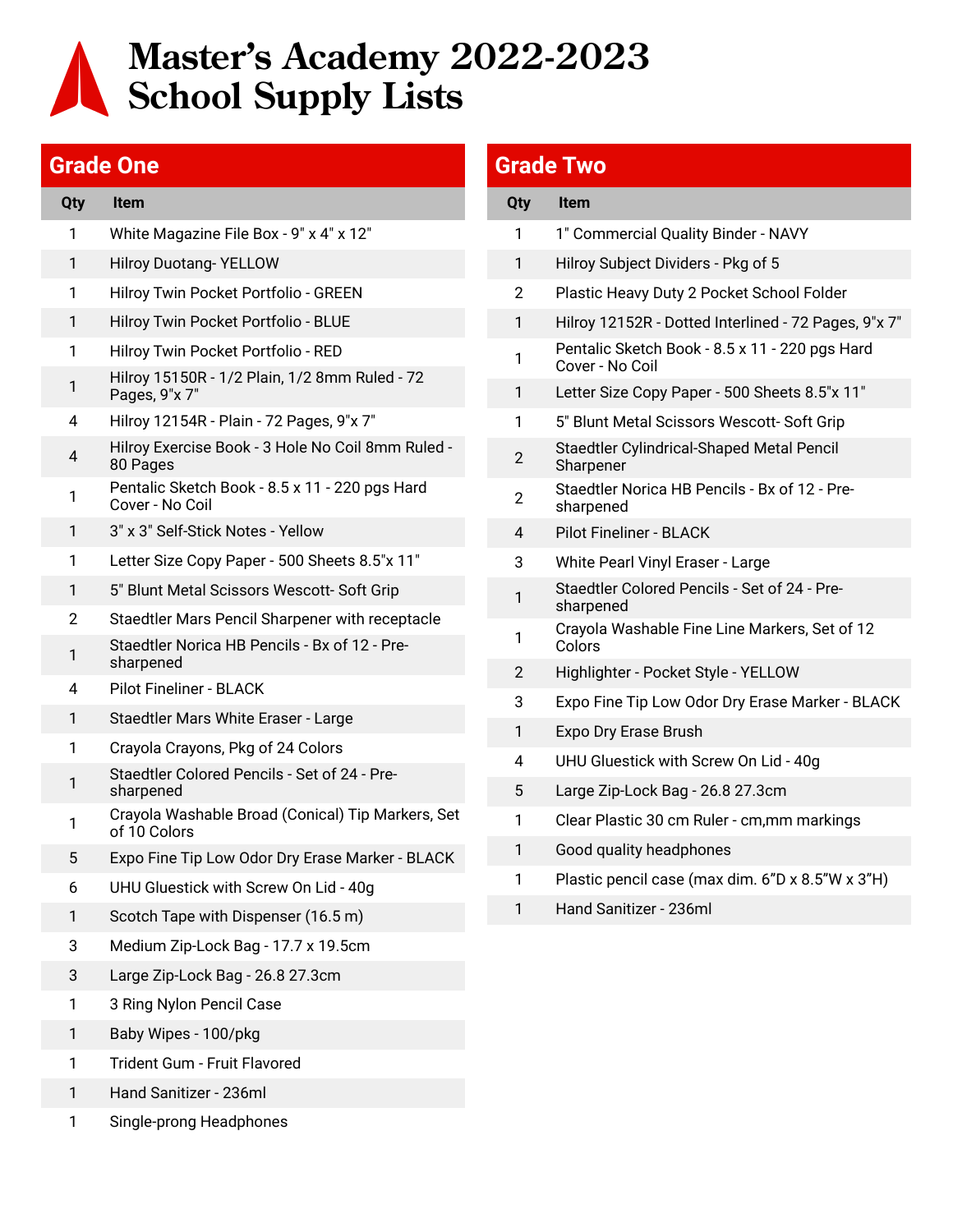# **Master's Academy 2022-2023 School Supply Lists**

### **Grade One**

| Qty | <b>Item</b>                                                       |
|-----|-------------------------------------------------------------------|
| 1   | White Magazine File Box - 9" x 4" x 12"                           |
| 1   | <b>Hilroy Duotang-YELLOW</b>                                      |
| 1   | Hilroy Twin Pocket Portfolio - GREEN                              |
| 1   | Hilroy Twin Pocket Portfolio - BLUE                               |
| 1   | Hilroy Twin Pocket Portfolio - RED                                |
| 1   | Hilroy 15150R - 1/2 Plain, 1/2 8mm Ruled - 72<br>Pages, 9"x 7"    |
| 4   | Hilroy 12154R - Plain - 72 Pages, 9"x 7"                          |
| 4   | Hilroy Exercise Book - 3 Hole No Coil 8mm Ruled -<br>80 Pages     |
| 1   | Pentalic Sketch Book - 8.5 x 11 - 220 pgs Hard<br>Cover - No Coil |
| 1   | 3" x 3" Self-Stick Notes - Yellow                                 |
| 1   | Letter Size Copy Paper - 500 Sheets 8.5"x 11"                     |
| 1   | 5" Blunt Metal Scissors Wescott- Soft Grip                        |
| 2   | Staedtler Mars Pencil Sharpener with receptacle                   |
| 1   | Staedtler Norica HB Pencils - Bx of 12 - Pre-<br>sharpened        |
| 4   | <b>Pilot Fineliner - BLACK</b>                                    |
| 1   | Staedtler Mars White Eraser - Large                               |
| 1   | Crayola Crayons, Pkg of 24 Colors                                 |
| 1   | Staedtler Colored Pencils - Set of 24 - Pre-<br>sharpened         |
| 1   | Crayola Washable Broad (Conical) Tip Markers, Set<br>of 10 Colors |
| 5   | Expo Fine Tip Low Odor Dry Erase Marker - BLACK                   |
| 6   | UHU Gluestick with Screw On Lid - 40g                             |
| 1   | Scotch Tape with Dispenser (16.5 m)                               |
| 3   | Medium Zip-Lock Bag - 17.7 x 19.5cm                               |
| 3   | Large Zip-Lock Bag - 26.8 27.3cm                                  |
| 1   | 3 Ring Nylon Pencil Case                                          |
| 1   | Baby Wipes - 100/pkg                                              |
| 1   | Trident Gum - Fruit Flavored                                      |

- Hand Sanitizer 236ml
- Single-prong Headphones

### **Grade Two**

| <b>Qty</b>     | <b>Item</b>                                                       |
|----------------|-------------------------------------------------------------------|
| 1              | 1" Commercial Quality Binder - NAVY                               |
| 1              | Hilroy Subject Dividers - Pkg of 5                                |
| $\overline{2}$ | Plastic Heavy Duty 2 Pocket School Folder                         |
| 1              | Hilroy 12152R - Dotted Interlined - 72 Pages, 9"x 7"              |
| 1              | Pentalic Sketch Book - 8.5 x 11 - 220 pgs Hard<br>Cover - No Coil |
| 1              | Letter Size Copy Paper - 500 Sheets 8.5"x 11"                     |
| 1              | 5" Blunt Metal Scissors Wescott- Soft Grip                        |
| 2              | Staedtler Cylindrical-Shaped Metal Pencil<br>Sharpener            |
| $\overline{2}$ | Staedtler Norica HB Pencils - Bx of 12 - Pre-<br>sharpened        |
| 4              | <b>Pilot Fineliner - BLACK</b>                                    |
| 3              | White Pearl Vinyl Eraser - Large                                  |
| 1              | Staedtler Colored Pencils - Set of 24 - Pre-<br>sharpened         |
| 1              | Crayola Washable Fine Line Markers, Set of 12<br>Colors           |
| 2              | Highlighter - Pocket Style - YELLOW                               |
| 3              | Expo Fine Tip Low Odor Dry Erase Marker - BLACK                   |
| 1              | Expo Dry Erase Brush                                              |
| 4              | UHU Gluestick with Screw On Lid - 40g                             |
| 5              | Large Zip-Lock Bag - 26.8 27.3cm                                  |
| 1              | Clear Plastic 30 cm Ruler - cm, mm markings                       |
| 1              | Good quality headphones                                           |
| 1              | Plastic pencil case (max dim. 6"D x 8.5"W x 3"H)                  |
| 1              | Hand Sanitizer - 236ml                                            |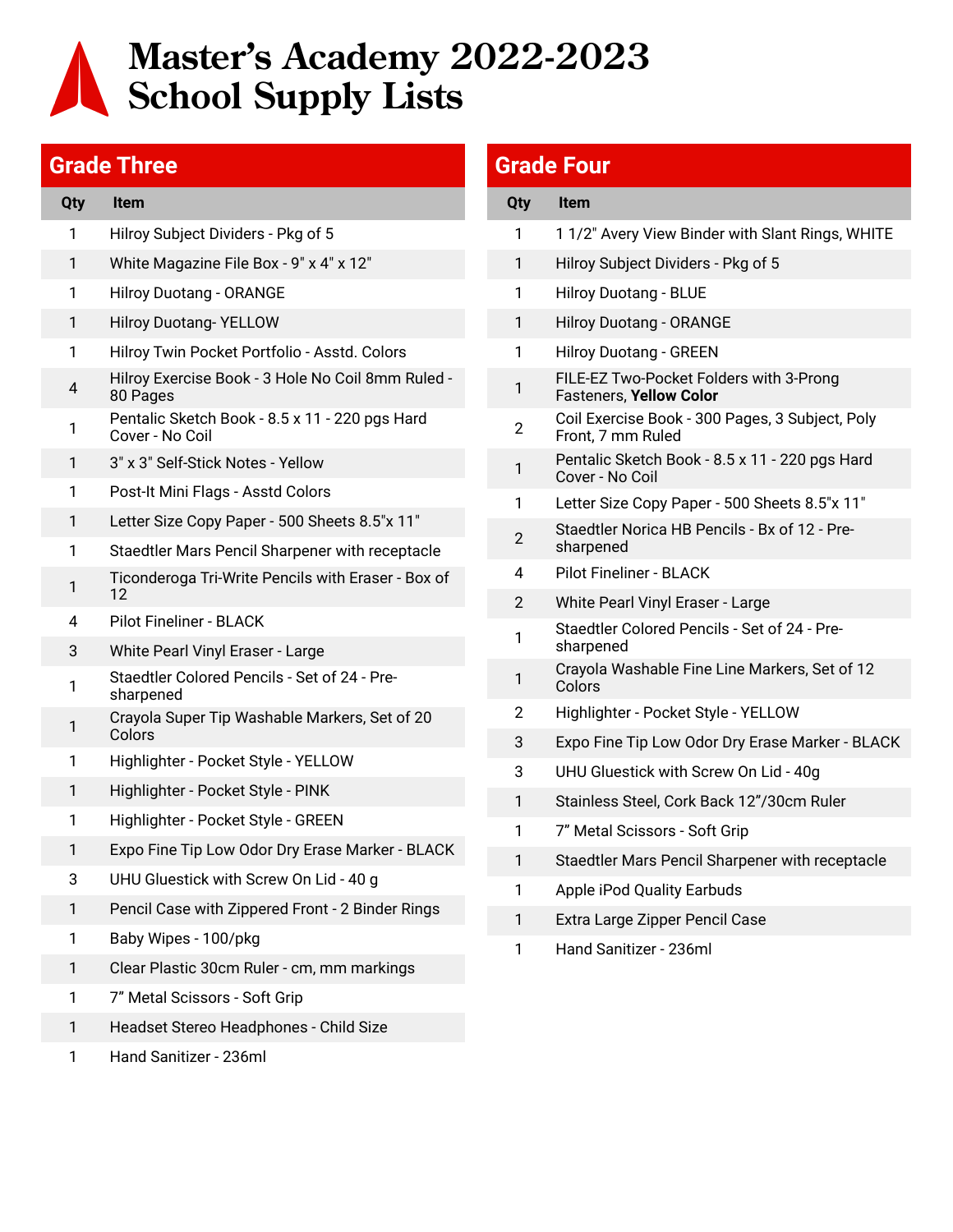# **Master's Academy 2022-2023 School Supply Lists**

#### **Grade Three**

| <b>Qty</b>     | <b>Item</b>                                                       |
|----------------|-------------------------------------------------------------------|
| 1              | Hilroy Subject Dividers - Pkg of 5                                |
| 1              | White Magazine File Box - 9" x 4" x 12"                           |
| 1              | <b>Hilroy Duotang - ORANGE</b>                                    |
| 1              | <b>Hilroy Duotang-YELLOW</b>                                      |
| 1              | Hilroy Twin Pocket Portfolio - Asstd. Colors                      |
| $\overline{4}$ | Hilroy Exercise Book - 3 Hole No Coil 8mm Ruled -<br>80 Pages     |
| 1              | Pentalic Sketch Book - 8.5 x 11 - 220 pgs Hard<br>Cover - No Coil |
| 1              | 3" x 3" Self-Stick Notes - Yellow                                 |
| 1              | Post-It Mini Flags - Asstd Colors                                 |
| 1              | Letter Size Copy Paper - 500 Sheets 8.5"x 11"                     |
| 1              | Staedtler Mars Pencil Sharpener with receptacle                   |
| 1              | Ticonderoga Tri-Write Pencils with Eraser - Box of<br>12          |
| 4              | <b>Pilot Fineliner - BLACK</b>                                    |
| 3              | White Pearl Vinyl Eraser - Large                                  |
| 1              | Staedtler Colored Pencils - Set of 24 - Pre-<br>sharpened         |
| 1              | Crayola Super Tip Washable Markers, Set of 20<br>Colors           |
| 1              | Highlighter - Pocket Style - YELLOW                               |
| 1              | Highlighter - Pocket Style - PINK                                 |
| 1              | Highlighter - Pocket Style - GREEN                                |
| 1              | Expo Fine Tip Low Odor Dry Erase Marker - BLACK                   |
| 3              | UHU Gluestick with Screw On Lid - 40 g                            |
| 1              | Pencil Case with Zippered Front - 2 Binder Rings                  |
| 1              | Baby Wipes - 100/pkg                                              |
| 1              | Clear Plastic 30cm Ruler - cm, mm markings                        |
| 1              | 7" Metal Scissors - Soft Grip                                     |
| 1              | Headset Stereo Headphones - Child Size                            |

Hand Sanitizer - 236ml

### **Grade Four**

| Qty            | <b>Item</b>                                                               |
|----------------|---------------------------------------------------------------------------|
| 1              | 11/2" Avery View Binder with Slant Rings, WHITE                           |
| 1              | Hilroy Subject Dividers - Pkg of 5                                        |
| 1              | <b>Hilroy Duotang - BLUE</b>                                              |
| 1              | <b>Hilroy Duotang - ORANGE</b>                                            |
| 1              | <b>Hilroy Duotang - GREEN</b>                                             |
| 1              | FILE-EZ Two-Pocket Folders with 3-Prong<br><b>Fasteners, Yellow Color</b> |
| 2              | Coil Exercise Book - 300 Pages, 3 Subject, Poly<br>Front, 7 mm Ruled      |
| 1              | Pentalic Sketch Book - 8.5 x 11 - 220 pgs Hard<br>Cover - No Coil         |
| 1              | Letter Size Copy Paper - 500 Sheets 8.5"x 11"                             |
| 2              | Staedtler Norica HB Pencils - Bx of 12 - Pre-<br>sharpened                |
| 4              | <b>Pilot Fineliner - BLACK</b>                                            |
| $\overline{2}$ | White Pearl Vinyl Eraser - Large                                          |
| 1              | Staedtler Colored Pencils - Set of 24 - Pre-<br>sharpened                 |
| 1              | Crayola Washable Fine Line Markers, Set of 12<br>Colors                   |
| 2              | Highlighter - Pocket Style - YELLOW                                       |
| 3              | Expo Fine Tip Low Odor Dry Erase Marker - BLACK                           |
| 3              | UHU Gluestick with Screw On Lid - 40g                                     |
| 1              | Stainless Steel, Cork Back 12"/30cm Ruler                                 |
| 1              | 7" Metal Scissors - Soft Grip                                             |
| 1              | Staedtler Mars Pencil Sharpener with receptacle                           |
| 1              | <b>Apple iPod Quality Earbuds</b>                                         |
| 1              | Extra Large Zipper Pencil Case                                            |
| 1              | Hand Sanitizer - 236ml                                                    |